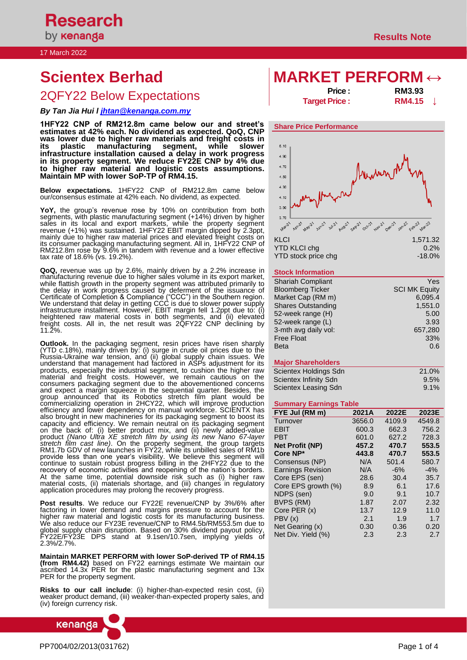# 17 March 2022

# 2QFY22 Below Expectations

# *By Tan Jia Hui l [jhtan@kenanga.com.my](mailto:jhtan@kenanga.com.my)*

**1HFY22 CNP of RM212.8m came below our and street's estimates at 42% each. No dividend as expected. QoQ, CNP was lower due to higher raw materials and freight costs in its plastic manufacturing segment, while slower infrastructure installation caused a delay in work progress in its property segment. We reduce FY22E CNP by 4% due to higher raw material and logistic costs assumptions. Maintain MP with lower SoP-TP of RM4.15.**

**Below expectations.** 1HFY22 CNP of RM212.8m came below our/consensus estimate at 42% each. No dividend, as expected.

**YoY,** the group's revenue rose by 10% on contribution from both segments, with plastic manufacturing segment (+14%) driven by higher sales in its local and export markets, while the property segment revenue (+1%) was sustained. 1HFY22 EBIT margin dipped by 2.3ppt, mainly due to higher raw material prices and elevated freight costs on its consumer packaging manufacturing segment. All in, 1HFY22 CNP of RM212.8m rose by 9.6% in tandem with revenue and a lower effective tax rate of 18.6% (vs. 19.2%).

**QoQ,** revenue was up by 2.6%, mainly driven by a 2.2% increase in manufacturing revenue due to higher sales volume in its export market, while flattish growth in the property segment was attributed primarily to the delay in work progress caused by deferment of the issuance of Certificate of Completion & Compliance ("CCC") in the Southern region. We understand that delay in getting CCC is due to slower power supply infrastructure installment. However, EBIT margin fell 1.2ppt due to: (i) heightened raw material costs in both segments, and (ii) elevated freight costs. All in, the net result was 2QFY22 CNP declining by 11.2%.

**Outlook.** In the packaging segment, resin prices have risen sharply (YTD c.18%), mainly driven by: (i) surge in crude oil prices due to the Russia-Ukraine war tension, and (ii) global supply chain issues. We understand that management had factored in ASPs adjustment for its products, especially the industrial segment, to cushion the higher raw material and freight costs. However, we remain cautious on the consumers packaging segment due to the abovementioned concerns and expect a margin squeeze in the sequential quarter. Besides, the group announced that its Robotics stretch film plant would be commercializing operation in 2HCY22, which will improve production efficiency and lower dependency on manual workforce. SCIENTX has also brought in new machineries for its packaging segment to boost its capacity and efficiency. We remain neutral on its packaging segment on the back of: (i) better product mix, and (ii) newly added-value product *(Nano Ultra XE stretch film by using its new Nano 67-layer stretch film cast line)*. On the property segment, the group targets RM1.7b GDV of new launches in FY22, while its unbilled sales of RM1b provide less than one year's visibility. We believe this segment will continue to sustain robust progress billing in the 2HFY22 due to the recovery of economic activities and reopening of the nation's borders. At the same time, potential downside risk such as (i) higher raw material costs, (ii) materials shortage, and (iii) changes in regulatory application procedures may prolong the recovery progress.

**Post results**. We reduce our FY22E revenue/CNP by 3%/6% after factoring in lower demand and margins pressure to account for the higher raw material and logistic costs for its manufacturing business. We also reduce our FY23E revenue/CNP to RM4.5b/RM553.5m due to global supply chain disruption. Based on 30% dividend payout policy, FY22E/FY23E DPS stand at 9.1sen/10.7sen, implying yields of 2.3%/2.7%.

**Maintain MARKET PERFORM with lower SoP-derived TP of RM4.15 (from RM4.42)** based on FY22 earnings estimate We maintain our ascribed 14.3x PER for the plastic manufacturing segment and 13x PER for the property segment.

**Risks to our call include**: (i) higher-than-expected resin cost, (ii) weaker product demand, (iii) weaker-than-expected property sales, and (iv) foreign currency risk.



# **Scientex Berhad MARKET PERFORM ↔**

**Price : RM3.93 Target Price : RM4.15 ↓**



## **Stock Information**

| <b>Shariah Compliant</b>  | Yes                  |
|---------------------------|----------------------|
| <b>Bloomberg Ticker</b>   | <b>SCI MK Equity</b> |
| Market Cap (RM m)         | 6.095.4              |
| <b>Shares Outstanding</b> | 1,551.0              |
| 52-week range (H)         | 5.00                 |
| 52-week range (L)         | 3.93                 |
| 3-mth avg daily vol:      | 657,280              |
| <b>Free Float</b>         | 33%                  |
| <b>Beta</b>               | 0.6                  |

# **Major Shareholders**

| Scientex Holdings Sdn | <b>21.0%</b> |
|-----------------------|--------------|
| Scientex Infinity Sdn | 9.5%         |
| Scientex Leasing Sdn  | $9.1\%$      |

#### **Summary Earnings Table**

| FYE Jul (RM m)           | 2021A  | 2022E  | 2023E  |
|--------------------------|--------|--------|--------|
| Turnover                 | 3656.0 | 4109.9 | 4549.8 |
| EBIT                     | 600.3  | 662.3  | 756.2  |
| <b>PBT</b>               | 601.0  | 627.2  | 728.3  |
| <b>Net Profit (NP)</b>   | 457.2  | 470.7  | 553.5  |
| Core NP*                 | 443.8  | 470.7  | 553.5  |
| Consensus (NP)           | N/A    | 501.4  | 580.7  |
| <b>Earnings Revision</b> | N/A    | $-6%$  | $-4%$  |
| Core EPS (sen)           | 28.6   | 30.4   | 35.7   |
| Core EPS growth (%)      | 8.9    | 6.1    | 17.6   |
| NDPS (sen)               | 9.0    | 9.1    | 10.7   |
| BVPS (RM)                | 1.87   | 2.07   | 2.32   |
| Core PER (x)             | 13.7   | 12.9   | 11.0   |
| PBV(x)                   | 2.1    | 1.9    | 1.7    |
| Net Gearing (x)          | 0.30   | 0.36   | 0.20   |
| Net Div. Yield (%)       | 2.3    | 2.3    | 2.7    |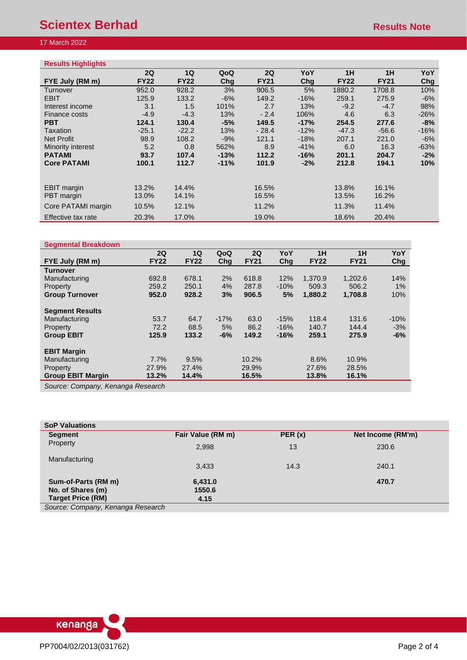# **Scientex Berhad Results Note** Results Note

# 17 March 2022

| <b>Results Highlights</b> |             |             |        |             |        |             |             |        |
|---------------------------|-------------|-------------|--------|-------------|--------|-------------|-------------|--------|
|                           | 2Q          | 1Q          | QoQ    | 2Q          | YoY    | 1H          | 1H          | YoY    |
| FYE July (RM m)           | <b>FY22</b> | <b>FY22</b> | Chg    | <b>FY21</b> | Chg    | <b>FY22</b> | <b>FY21</b> | Chg    |
| Turnover                  | 952.0       | 928.2       | 3%     | 906.5       | 5%     | 1880.2      | 1708.8      | 10%    |
| <b>EBIT</b>               | 125.9       | 133.2       | $-6%$  | 149.2       | $-16%$ | 259.1       | 275.9       | $-6%$  |
| Interest income           | 3.1         | 1.5         | 101%   | 2.7         | 13%    | $-9.2$      | $-4.7$      | 98%    |
| Finance costs             | $-4.9$      | $-4.3$      | 13%    | $-2.4$      | 106%   | 4.6         | 6.3         | $-26%$ |
| <b>PBT</b>                | 124.1       | 130.4       | $-5%$  | 149.5       | $-17%$ | 254.5       | 277.6       | -8%    |
| Taxation                  | $-25.1$     | $-22.2$     | 13%    | $-28.4$     | $-12%$ | $-47.3$     | $-56.6$     | $-16%$ |
| Net Profit                | 98.9        | 108.2       | $-9%$  | 121.1       | $-18%$ | 207.1       | 221.0       | $-6%$  |
| Minority interest         | 5.2         | 0.8         | 562%   | 8.9         | $-41%$ | 6.0         | 16.3        | $-63%$ |
| <b>PATAMI</b>             | 93.7        | 107.4       | $-13%$ | 112.2       | $-16%$ | 201.1       | 204.7       | $-2\%$ |
| <b>Core PATAMI</b>        | 100.1       | 112.7       | $-11%$ | 101.9       | $-2%$  | 212.8       | 194.1       | 10%    |
|                           |             |             |        |             |        |             |             |        |
| <b>EBIT</b> margin        | 13.2%       | 14.4%       |        | 16.5%       |        | 13.8%       | 16.1%       |        |
| PBT margin                | 13.0%       | 14.1%       |        | 16.5%       |        | 13.5%       | 16.2%       |        |
| Core PATAMI margin        | 10.5%       | 12.1%       |        | 11.2%       |        | 11.3%       | 11.4%       |        |
| Effective tax rate        | 20.3%       | 17.0%       |        | 19.0%       |        | 18.6%       | 20.4%       |        |

# **Segmental Breakdown**

|                                | 2Q          | 1Q          | QoQ    | 2Q          | YoY    | 1H          | 1H          | YoY        |
|--------------------------------|-------------|-------------|--------|-------------|--------|-------------|-------------|------------|
| FYE July (RM m)                | <b>FY22</b> | <b>FY22</b> | Cha    | <b>FY21</b> | Chg    | <b>FY22</b> | <b>FY21</b> | <b>Chg</b> |
| <b>Turnover</b>                |             |             |        |             |        |             |             |            |
| Manufacturing                  | 692.8       | 678.1       | 2%     | 618.8       | 12%    | 1,370.9     | 1,202.6     | 14%        |
| Property                       | 259.2       | 250.1       | 4%     | 287.8       | $-10%$ | 509.3       | 506.2       | $1\%$      |
| <b>Group Turnover</b>          | 952.0       | 928.2       | 3%     | 906.5       | 5%     | 1,880.2     | 1,708.8     | 10%        |
| <b>Segment Results</b>         |             |             |        |             |        |             |             |            |
| Manufacturing                  | 53.7        | 64.7        | $-17%$ | 63.0        | $-15%$ | 118.4       | 131.6       | $-10%$     |
| Property                       | 72.2        | 68.5        | 5%     | 86.2        | $-16%$ | 140.7       | 144.4       | $-3%$      |
| <b>Group EBIT</b>              | 125.9       | 133.2       | $-6%$  | 149.2       | $-16%$ | 259.1       | 275.9       | $-6%$      |
| <b>EBIT Margin</b>             |             |             |        |             |        |             |             |            |
| Manufacturing                  | 7.7%        | 9.5%        |        | 10.2%       |        | 8.6%        | 10.9%       |            |
| Property                       | 27.9%       | 27.4%       |        | 29.9%       |        | 27.6%       | 28.5%       |            |
| <b>Group EBIT Margin</b>       | 13.2%       | 14.4%       |        | 16.5%       |        | 13.8%       | 16.1%       |            |
| Course Company Kensens Dessenb |             |             |        |             |        |             |             |            |

*Source: Company, Kenanga Research*

| <b>SoP Valuations</b>             |                   |        |                   |
|-----------------------------------|-------------------|--------|-------------------|
| <b>Segment</b>                    | Fair Value (RM m) | PER(x) | Net Income (RM'm) |
| Property                          | 2,998             | 13     | 230.6             |
| Manufacturing                     | 3,433             | 14.3   | 240.1             |
| Sum-of-Parts (RM m)               | 6,431.0           |        | 470.7             |
| No. of Shares (m)                 | 1550.6            |        |                   |
| <b>Target Price (RM)</b>          | 4.15              |        |                   |
| Source: Company, Kenanga Research |                   |        |                   |

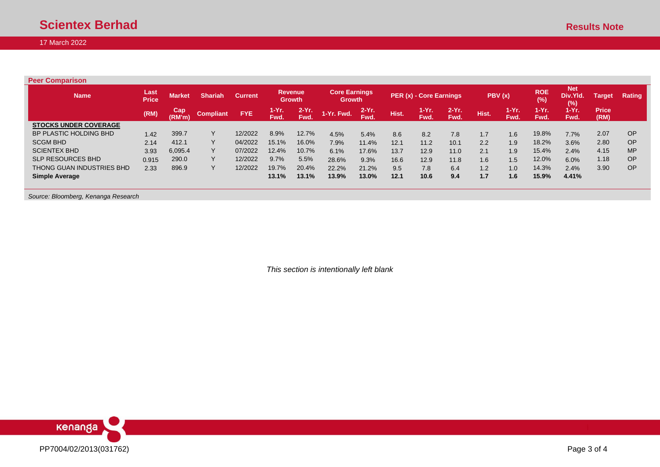17 March 2022

**Peer Comparison**

| <b>Name</b>                  | /Last<br><b>Price</b> | <b>Market</b> | <b>Shariah</b>         | <b>Current</b> | <b>Revenue</b> | <b>Growth</b>  | <b>Core Earnings</b><br><b>Growth</b> |                  |       | PER (x) - Core Earnings |                  |       | PBV(x)           | <b>ROE</b><br>(%) | <b>Net</b><br>Div.Yld.<br>(%) | Target               | <b>Rating</b> |
|------------------------------|-----------------------|---------------|------------------------|----------------|----------------|----------------|---------------------------------------|------------------|-------|-------------------------|------------------|-------|------------------|-------------------|-------------------------------|----------------------|---------------|
|                              | (RM)                  | Cap<br>(RM'm) | Compliant <sup>1</sup> | <b>FYE</b>     | 1-Yr.<br>Fwd.  | $2-Yr$<br>Fwd. | 1-Yr. Fwd.                            | $2-Yr$ .<br>Fwd. | Hist. | 1-Yr.<br>Fwd.           | $2-Yr$ .<br>Fwd. | Hist. | $1-Yr$ .<br>Fwd. | $1-Yr$ .<br>Fwd.  | 1-Yr.<br>Fwd.                 | <b>Price</b><br>(RM) |               |
| <b>STOCKS UNDER COVERAGE</b> |                       |               |                        |                |                |                |                                       |                  |       |                         |                  |       |                  |                   |                               |                      |               |
| BP PLASTIC HOLDING BHD       | 1.42                  | 399.7         |                        | 12/2022        | 8.9%           | 12.7%          | 4.5%                                  | 5.4%             | 8.6   | 8.2                     | 7.8              | 1.7   | 1.6              | 19.8%             | 7.7%                          | 2.07                 | <b>OP</b>     |
| <b>SCGM BHD</b>              | 2.14                  | 412.1         |                        | 04/2022        | 15.1%          | 16.0%          | 7.9%                                  | 11.4%            | 12.1  | 11.2                    | 10.1             | 2.2   | 1.9              | 18.2%             | 3.6%                          | 2.80                 | OP            |
| <b>SCIENTEX BHD</b>          | 3.93                  | 6,095.4       |                        | 07/2022        | 12.4%          | 10.7%          | 6.1%                                  | 17.6%            | 13.7  | 12.9                    | 11.0             | 2.1   | 1.9              | 15.4%             | 2.4%                          | 4.15                 | <b>MP</b>     |
| <b>SLP RESOURCES BHD</b>     | 0.915                 | 290.0         |                        | 12/2022        | 9.7%           | 5.5%           | 28.6%                                 | 9.3%             | 16.6  | 12.9                    | 11.8             | 1.6   | 1.5              | 12.0%             | 6.0%                          | 1.18                 | OP            |
| THONG GUAN INDUSTRIES BHD    | 2.33                  | 896.9         |                        | 12/2022        | 19.7%          | 20.4%          | 22.2%                                 | 21.2%            | 9.5   | 7.8                     | 6.4              | 1.2   | 1.0              | 14.3%             | 2.4%                          | 3.90                 | <b>OP</b>     |
| <b>Simple Average</b>        |                       |               |                        |                | 13.1%          | 13.1%          | 13.9%                                 | $13.0\%$         | 12.1  | 10.6                    | 9.4              | 1.7   | 1.6              | 15.9%             | 4.41%                         |                      |               |

*Source: Bloomberg, Kenanga Research*

*This section is intentionally left blank*